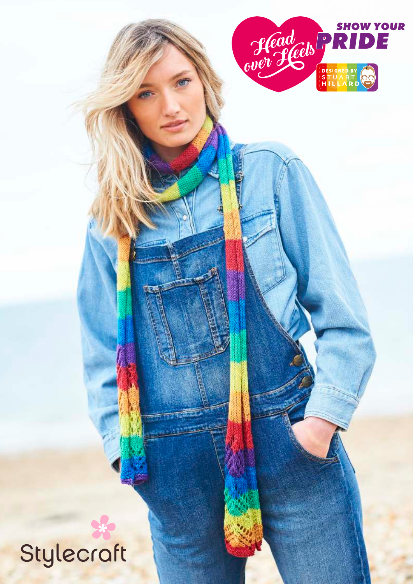